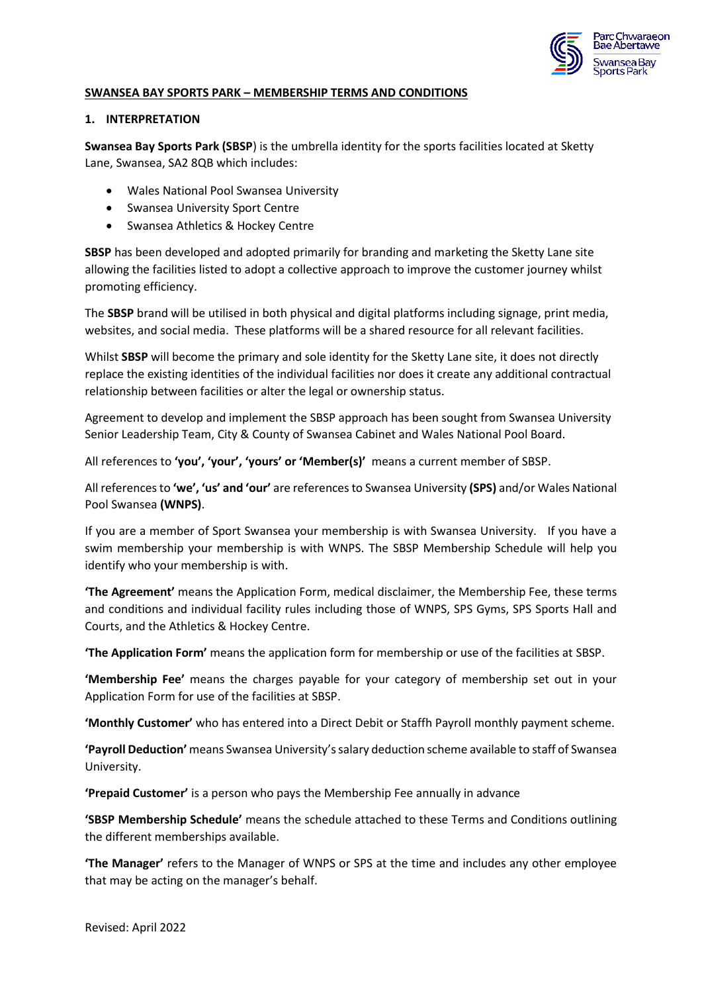

#### **SWANSEA BAY SPORTS PARK – MEMBERSHIP TERMS AND CONDITIONS**

#### **1. INTERPRETATION**

**Swansea Bay Sports Park (SBSP**) is the umbrella identity for the sports facilities located at Sketty Lane, Swansea, SA2 8QB which includes:

- Wales National Pool Swansea University
- Swansea University Sport Centre
- Swansea Athletics & Hockey Centre

**SBSP** has been developed and adopted primarily for branding and marketing the Sketty Lane site allowing the facilities listed to adopt a collective approach to improve the customer journey whilst promoting efficiency.

The **SBSP** brand will be utilised in both physical and digital platforms including signage, print media, websites, and social media. These platforms will be a shared resource for all relevant facilities.

Whilst **SBSP** will become the primary and sole identity for the Sketty Lane site, it does not directly replace the existing identities of the individual facilities nor does it create any additional contractual relationship between facilities or alter the legal or ownership status.

Agreement to develop and implement the SBSP approach has been sought from Swansea University Senior Leadership Team, City & County of Swansea Cabinet and Wales National Pool Board.

All references to **'you', 'your', 'yours' or 'Member(s)'** means a current member of SBSP.

All references to **'we', 'us' and 'our'** are references to Swansea University **(SPS)** and/or Wales National Pool Swansea **(WNPS)**.

If you are a member of Sport Swansea your membership is with Swansea University. If you have a swim membership your membership is with WNPS. The SBSP Membership Schedule will help you identify who your membership is with.

**'The Agreement'** means the Application Form, medical disclaimer, the Membership Fee, these terms and conditions and individual facility rules including those of WNPS, SPS Gyms, SPS Sports Hall and Courts, and the Athletics & Hockey Centre.

**'The Application Form'** means the application form for membership or use of the facilities at SBSP.

**'Membership Fee'** means the charges payable for your category of membership set out in your Application Form for use of the facilities at SBSP.

**'Monthly Customer'** who has entered into a Direct Debit or Staffh Payroll monthly payment scheme.

**'Payroll Deduction'** means Swansea University's salary deduction scheme available to staff of Swansea University.

**'Prepaid Customer'** is a person who pays the Membership Fee annually in advance

**'SBSP Membership Schedule'** means the schedule attached to these Terms and Conditions outlining the different memberships available.

**'The Manager'** refers to the Manager of WNPS or SPS at the time and includes any other employee that may be acting on the manager's behalf.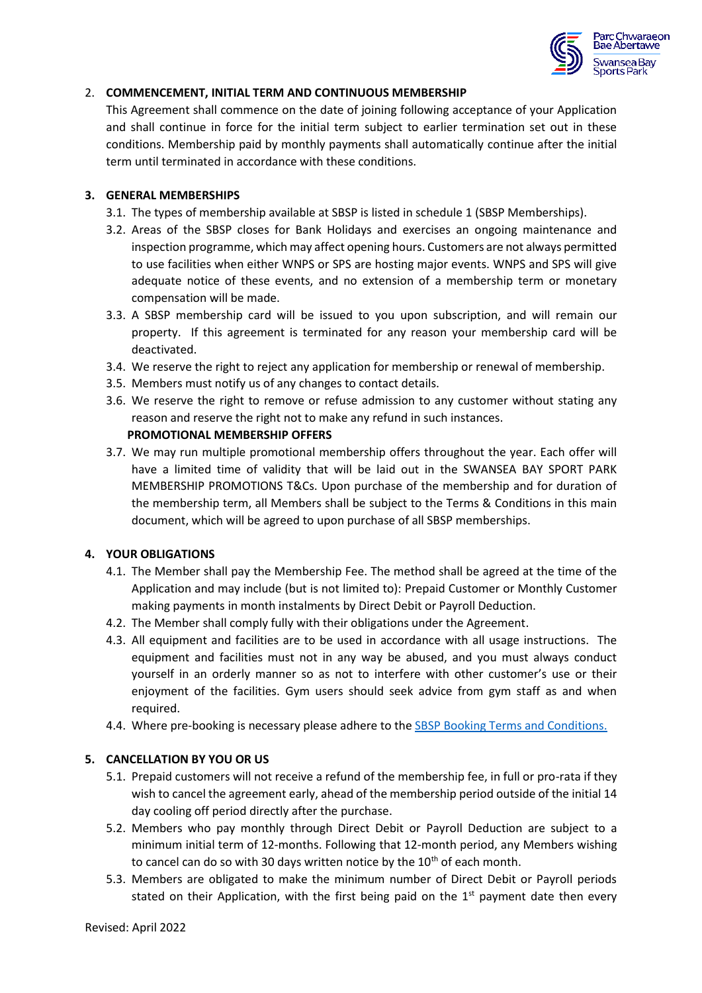

### 2. **COMMENCEMENT, INITIAL TERM AND CONTINUOUS MEMBERSHIP**

This Agreement shall commence on the date of joining following acceptance of your Application and shall continue in force for the initial term subject to earlier termination set out in these conditions. Membership paid by monthly payments shall automatically continue after the initial term until terminated in accordance with these conditions.

### **3. GENERAL MEMBERSHIPS**

- 3.1. The types of membership available at SBSP is listed in schedule 1 (SBSP Memberships).
- 3.2. Areas of the SBSP closes for Bank Holidays and exercises an ongoing maintenance and inspection programme, which may affect opening hours. Customers are not always permitted to use facilities when either WNPS or SPS are hosting major events. WNPS and SPS will give adequate notice of these events, and no extension of a membership term or monetary compensation will be made.
- 3.3. A SBSP membership card will be issued to you upon subscription, and will remain our property. If this agreement is terminated for any reason your membership card will be deactivated.
- 3.4. We reserve the right to reject any application for membership or renewal of membership.
- 3.5. Members must notify us of any changes to contact details.
- 3.6. We reserve the right to remove or refuse admission to any customer without stating any reason and reserve the right not to make any refund in such instances.

### **PROMOTIONAL MEMBERSHIP OFFERS**

3.7. We may run multiple promotional membership offers throughout the year. Each offer will have a limited time of validity that will be laid out in the SWANSEA BAY SPORT PARK MEMBERSHIP PROMOTIONS T&Cs. Upon purchase of the membership and for duration of the membership term, all Members shall be subject to the Terms & Conditions in this main document, which will be agreed to upon purchase of all SBSP memberships.

## **4. YOUR OBLIGATIONS**

- 4.1. The Member shall pay the Membership Fee. The method shall be agreed at the time of the Application and may include (but is not limited to): Prepaid Customer or Monthly Customer making payments in month instalments by Direct Debit or Payroll Deduction.
- 4.2. The Member shall comply fully with their obligations under the Agreement.
- 4.3. All equipment and facilities are to be used in accordance with all usage instructions. The equipment and facilities must not in any way be abused, and you must always conduct yourself in an orderly manner so as not to interfere with other customer's use or their enjoyment of the facilities. Gym users should seek advice from gym staff as and when required.
- 4.4. Where pre-booking is necessary please adhere to the [SBSP Booking Terms and Conditions.](https://www.swanseabaysportspark.wales/legal/)

## **5. CANCELLATION BY YOU OR US**

- 5.1. Prepaid customers will not receive a refund of the membership fee, in full or pro-rata if they wish to cancel the agreement early, ahead of the membership period outside of the initial 14 day cooling off period directly after the purchase.
- 5.2. Members who pay monthly through Direct Debit or Payroll Deduction are subject to a minimum initial term of 12-months. Following that 12-month period, any Members wishing to cancel can do so with 30 days written notice by the  $10<sup>th</sup>$  of each month.
- 5.3. Members are obligated to make the minimum number of Direct Debit or Payroll periods stated on their Application, with the first being paid on the  $1<sup>st</sup>$  payment date then every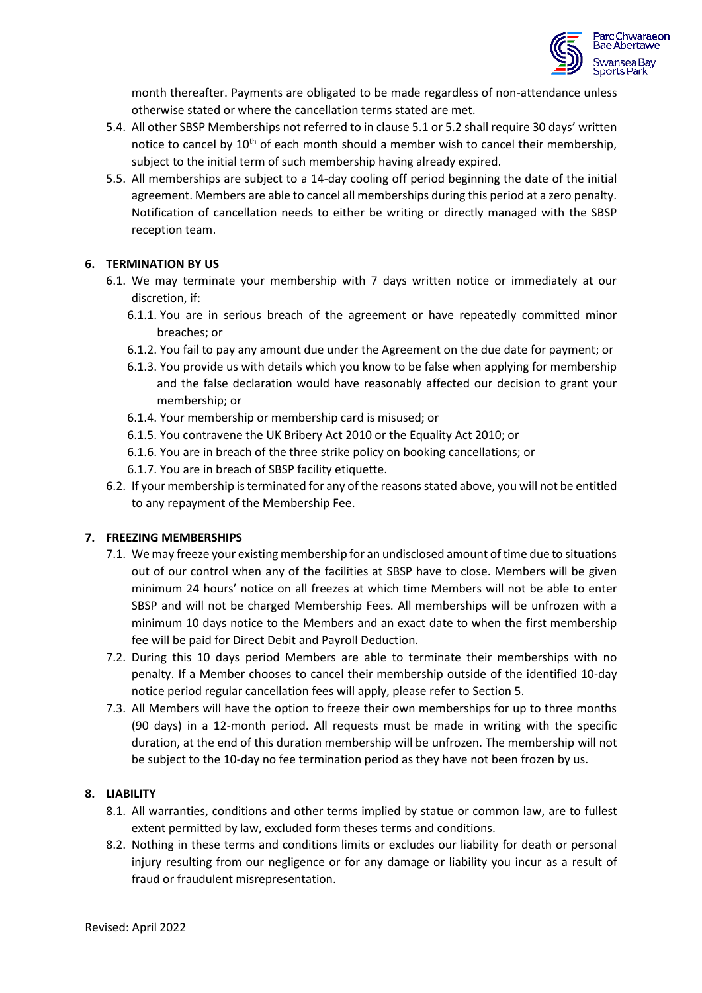

month thereafter. Payments are obligated to be made regardless of non-attendance unless otherwise stated or where the cancellation terms stated are met.

- 5.4. All other SBSP Memberships not referred to in clause 5.1 or 5.2 shall require 30 days' written notice to cancel by  $10^{th}$  of each month should a member wish to cancel their membership, subject to the initial term of such membership having already expired.
- 5.5. All memberships are subject to a 14-day cooling off period beginning the date of the initial agreement. Members are able to cancel all memberships during this period at a zero penalty. Notification of cancellation needs to either be writing or directly managed with the SBSP reception team.

## **6. TERMINATION BY US**

- 6.1. We may terminate your membership with 7 days written notice or immediately at our discretion, if:
	- 6.1.1. You are in serious breach of the agreement or have repeatedly committed minor breaches; or
	- 6.1.2. You fail to pay any amount due under the Agreement on the due date for payment; or
	- 6.1.3. You provide us with details which you know to be false when applying for membership and the false declaration would have reasonably affected our decision to grant your membership; or
	- 6.1.4. Your membership or membership card is misused; or
	- 6.1.5. You contravene the UK Bribery Act 2010 or the Equality Act 2010; or
	- 6.1.6. You are in breach of the three strike policy on booking cancellations; or
	- 6.1.7. You are in breach of SBSP facility etiquette.
- 6.2. If your membership isterminated for any of the reasons stated above, you will not be entitled to any repayment of the Membership Fee.

#### **7. FREEZING MEMBERSHIPS**

- 7.1. We may freeze your existing membership for an undisclosed amount of time due to situations out of our control when any of the facilities at SBSP have to close. Members will be given minimum 24 hours' notice on all freezes at which time Members will not be able to enter SBSP and will not be charged Membership Fees. All memberships will be unfrozen with a minimum 10 days notice to the Members and an exact date to when the first membership fee will be paid for Direct Debit and Payroll Deduction.
- 7.2. During this 10 days period Members are able to terminate their memberships with no penalty. If a Member chooses to cancel their membership outside of the identified 10-day notice period regular cancellation fees will apply, please refer to Section 5.
- 7.3. All Members will have the option to freeze their own memberships for up to three months (90 days) in a 12-month period. All requests must be made in writing with the specific duration, at the end of this duration membership will be unfrozen. The membership will not be subject to the 10-day no fee termination period as they have not been frozen by us.

## **8. LIABILITY**

- 8.1. All warranties, conditions and other terms implied by statue or common law, are to fullest extent permitted by law, excluded form theses terms and conditions.
- 8.2. Nothing in these terms and conditions limits or excludes our liability for death or personal injury resulting from our negligence or for any damage or liability you incur as a result of fraud or fraudulent misrepresentation.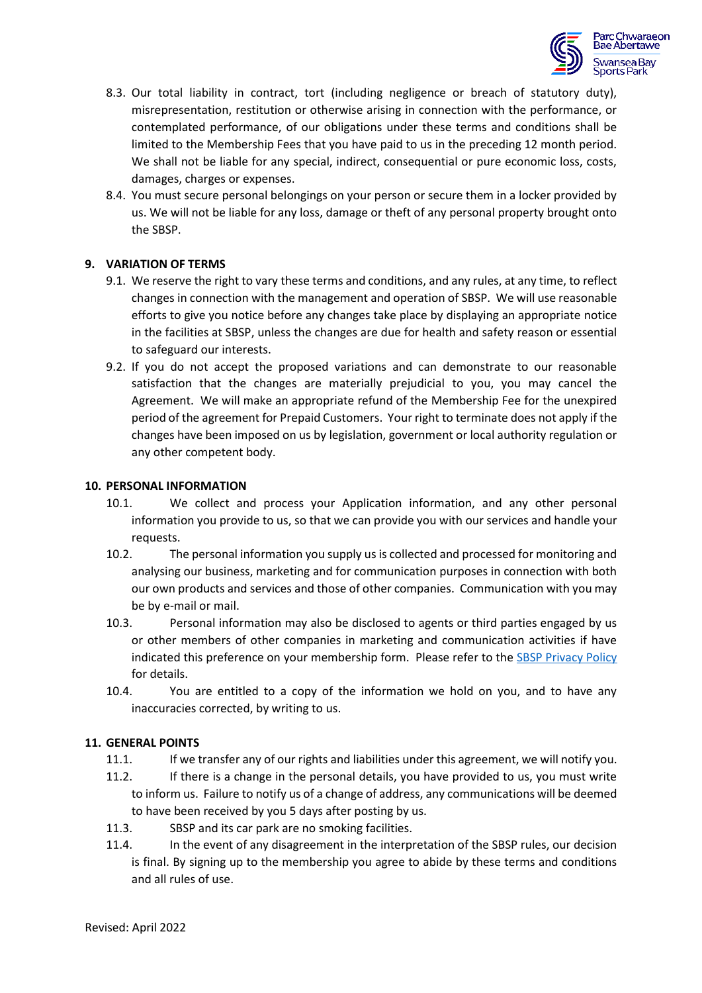

- 8.3. Our total liability in contract, tort (including negligence or breach of statutory duty), misrepresentation, restitution or otherwise arising in connection with the performance, or contemplated performance, of our obligations under these terms and conditions shall be limited to the Membership Fees that you have paid to us in the preceding 12 month period. We shall not be liable for any special, indirect, consequential or pure economic loss, costs, damages, charges or expenses.
- 8.4. You must secure personal belongings on your person or secure them in a locker provided by us. We will not be liable for any loss, damage or theft of any personal property brought onto the SBSP.

### **9. VARIATION OF TERMS**

- 9.1. We reserve the right to vary these terms and conditions, and any rules, at any time, to reflect changes in connection with the management and operation of SBSP. We will use reasonable efforts to give you notice before any changes take place by displaying an appropriate notice in the facilities at SBSP, unless the changes are due for health and safety reason or essential to safeguard our interests.
- 9.2. If you do not accept the proposed variations and can demonstrate to our reasonable satisfaction that the changes are materially prejudicial to you, you may cancel the Agreement. We will make an appropriate refund of the Membership Fee for the unexpired period of the agreement for Prepaid Customers. Your right to terminate does not apply if the changes have been imposed on us by legislation, government or local authority regulation or any other competent body.

#### **10. PERSONAL INFORMATION**

- 10.1. We collect and process your Application information, and any other personal information you provide to us, so that we can provide you with our services and handle your requests.
- 10.2. The personal information you supply us is collected and processed for monitoring and analysing our business, marketing and for communication purposes in connection with both our own products and services and those of other companies. Communication with you may be by e-mail or mail.
- 10.3. Personal information may also be disclosed to agents or third parties engaged by us or other members of other companies in marketing and communication activities if have indicated this preference on your membership form. Please refer to the [SBSP Privacy Policy](https://www.swanseabaysportspark.wales/legal/) for details.
- 10.4. You are entitled to a copy of the information we hold on you, and to have any inaccuracies corrected, by writing to us.

#### **11. GENERAL POINTS**

- 11.1. If we transfer any of our rights and liabilities under this agreement, we will notify you.
- 11.2. If there is a change in the personal details, you have provided to us, you must write to inform us. Failure to notify us of a change of address, any communications will be deemed to have been received by you 5 days after posting by us.
- 11.3. SBSP and its car park are no smoking facilities.
- 11.4. In the event of any disagreement in the interpretation of the SBSP rules, our decision is final. By signing up to the membership you agree to abide by these terms and conditions and all rules of use.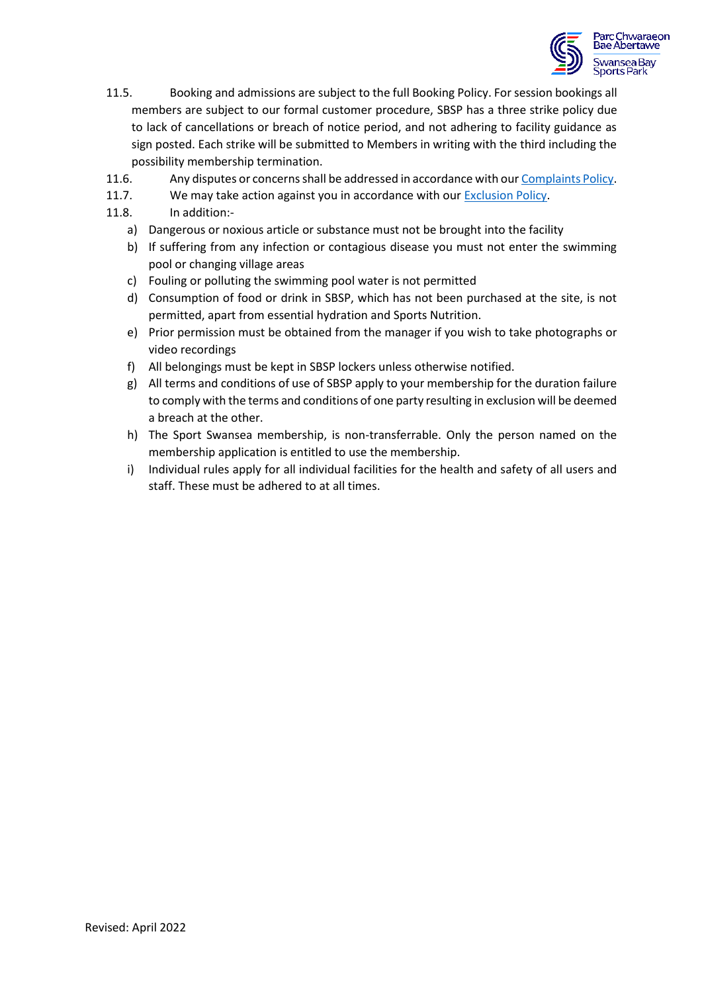

- 11.5. Booking and admissions are subject to the full Booking Policy. For session bookings all members are subject to our formal customer procedure, SBSP has a three strike policy due to lack of cancellations or breach of notice period, and not adhering to facility guidance as sign posted. Each strike will be submitted to Members in writing with the third including the possibility membership termination.
- 11.6. Any disputes or concerns shall be addressed in accordance with ou[r Complaints Policy.](https://www.swanseabaysportspark.wales/legal/)
- 11.7. We may take action against you in accordance with ou[r Exclusion Policy.](https://www.swanseabaysportspark.wales/legal/)
- 11.8. In addition:
	- a) Dangerous or noxious article or substance must not be brought into the facility
	- b) If suffering from any infection or contagious disease you must not enter the swimming pool or changing village areas
	- c) Fouling or polluting the swimming pool water is not permitted
	- d) Consumption of food or drink in SBSP, which has not been purchased at the site, is not permitted, apart from essential hydration and Sports Nutrition.
	- e) Prior permission must be obtained from the manager if you wish to take photographs or video recordings
	- f) All belongings must be kept in SBSP lockers unless otherwise notified.
	- g) All terms and conditions of use of SBSP apply to your membership for the duration failure to comply with the terms and conditions of one party resulting in exclusion will be deemed a breach at the other.
	- h) The Sport Swansea membership, is non-transferrable. Only the person named on the membership application is entitled to use the membership.
	- i) Individual rules apply for all individual facilities for the health and safety of all users and staff. These must be adhered to at all times.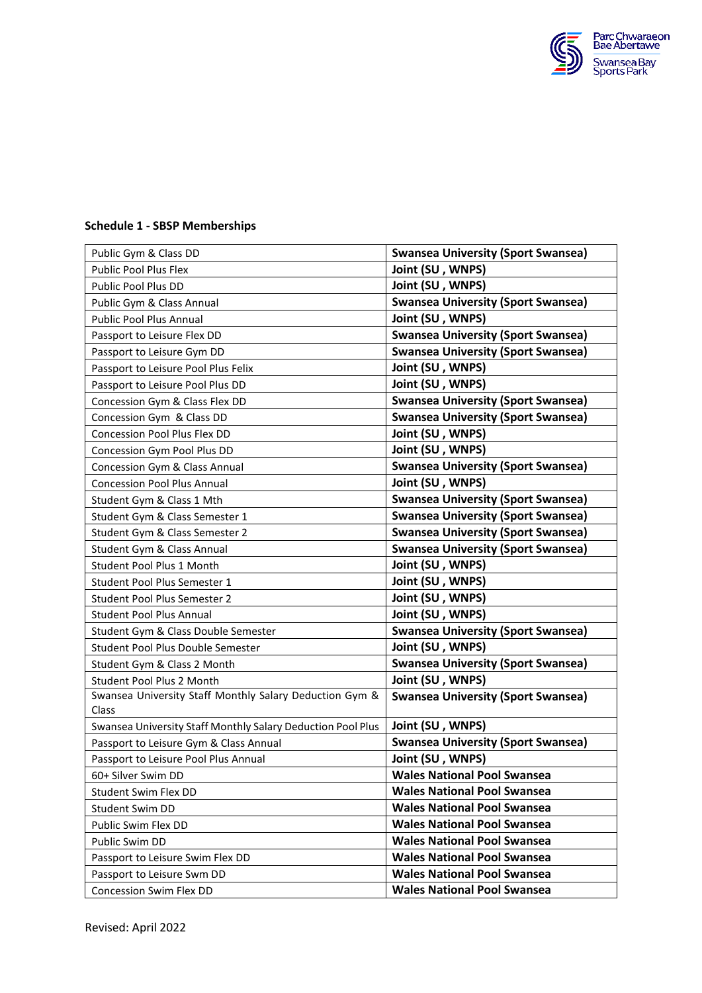

# Public Gym & Class DD **Swansea University (Sport Swansea)** Public Pool Plus Flex **Joint (SU, WNPS)** Public Pool Plus DD **Joint (SU, WNPS)** Public Gym & Class Annual **Swansea University (Sport Swansea)** Public Pool Plus Annual **Joint (SU, WNPS)** Passport to Leisure Flex DD **Swansea University (Sport Swansea)** Passport to Leisure Gym DD **Swansea University (Sport Swansea)** Passport to Leisure Pool Plus Felix **Joint (SU, WNPS)** Passport to Leisure Pool Plus DD **Joint (SU, WNPS)** Concession Gym & Class Flex DD **Swansea University (Sport Swansea)** Concession Gym & Class DD **Swansea University (Sport Swansea)** Concession Pool Plus Flex DD **Joint (SU , WNPS)** Concession Gym Pool Plus DD **Joint (SU , WNPS)** Concession Gym & Class Annual **Swansea University (Sport Swansea)** Concession Pool Plus Annual **Joint (SU , WNPS)** Student Gym & Class 1 Mth **Swansea University (Sport Swansea)** Student Gym & Class Semester 1 **Swansea University (Sport Swansea)** Student Gym & Class Semester 2 **Swansea University (Sport Swansea)** Student Gym & Class Annual **Swansea University (Sport Swansea)** Student Pool Plus 1 Month **Joint (SU, WNPS)** Student Pool Plus Semester 1 **Joint (SU , WNPS)** Student Pool Plus Semester 2 **Joint (SU , WNPS)** Student Pool Plus Annual **Joint (SU, WNPS)** Student Gym & Class Double Semester **Swansea University (Sport Swansea)** Student Pool Plus Double Semester **Julie 19th Student (SU, WNPS)** Student Gym & Class 2 Month **Swansea University (Sport Swansea)** Student Pool Plus 2 Month **Joint (SU , WNPS)** Swansea University Staff Monthly Salary Deduction Gym & Class **Swansea University (Sport Swansea)** Swansea University Staff Monthly Salary Deduction Pool Plus **Joint (SU , WNPS)** Passport to Leisure Gym & Class Annual **Swansea University (Sport Swansea)** Passport to Leisure Pool Plus Annual **Joint (SU , WNPS)** 60+ Silver Swim DD **Wales National Pool Swansea**  Student Swim Flex DD **Wales National Pool Swansea** Student Swim DD **Wales National Pool Swansea** Public Swim Flex DD **Wales National Pool Swansea** Public Swim DD **Wales National Pool Swansea** Passport to Leisure Swim Flex DD **Wales National Pool Swansea** Passport to Leisure Swm DD **Wales National Pool Swansea** Concession Swim Flex DD **Wales National Pool Swansea**

#### **Schedule 1 - SBSP Memberships**